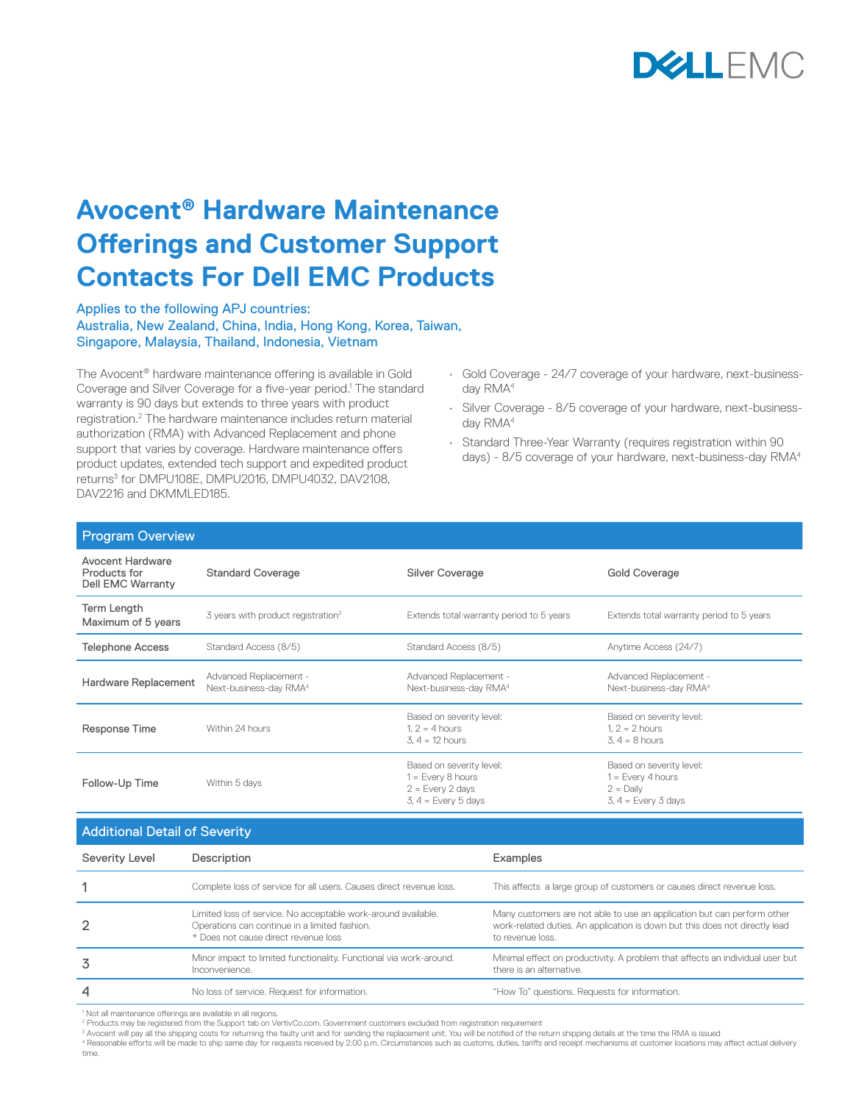

## **Avocent® Hardware Maintenance Offerings and Customer Support Contacts For Dell EMC Products**

Applies to the following APJ countries: Australia, New Zealand, China, India, Hong Kong, Korea, Taiwan, Singapore, Malaysia, Thailand, Indonesia, Vietnam

The Avocent® hardware maintenance offering is available in Gold Coverage and Silver Coverage for a five-year period.<sup>1</sup> The standard warranty is 90 days but extends to three years with product registration.2 The hardware maintenance includes return material authorization (RMA) with Advanced Replacement and phone support that varies by coverage. Hardware maintenance offers product updates, extended tech support and expedited product returns3 for DMPU108E, DMPU2016, DMPU4032, DAV2108, DAV2216 and DKMML FD185.

- Gold Coverage 24/7 coverage of your hardware, next-businessday RMA<sup>4</sup>
- Silver Coverage 8/5 coverage of your hardware, next-businessday RMA<sup>4</sup>
- Standard Three-Year Warranty (requires registration within 90 days) - 8/5 coverage of your hardware, next-business-day RMA4

| <b>Program Overview</b>                                             |                                                              |                                                                                                |                                                                                         |  |  |
|---------------------------------------------------------------------|--------------------------------------------------------------|------------------------------------------------------------------------------------------------|-----------------------------------------------------------------------------------------|--|--|
| <b>Avocent Hardware</b><br>Products for<br><b>Dell EMC Warranty</b> | <b>Standard Coverage</b>                                     | Silver Coverage                                                                                | <b>Gold Coverage</b>                                                                    |  |  |
| Term Length<br>Maximum of 5 years                                   | 3 years with product registration <sup>2</sup>               | Extends total warranty period to 5 years                                                       | Extends total warranty period to 5 years                                                |  |  |
| <b>Telephone Access</b>                                             | Standard Access (8/5)                                        | Standard Access (8/5)                                                                          | Anytime Access (24/7)                                                                   |  |  |
| Hardware Replacement                                                | Advanced Replacement -<br>Next-business-day RMA <sup>4</sup> | Advanced Replacement -<br>Next-business-day RMA <sup>4</sup>                                   | Advanced Replacement -<br>Next-business-day RMA <sup>4</sup>                            |  |  |
| Response Time                                                       | Within 24 hours                                              | Based on severity level:<br>$1.2 = 4$ hours<br>$3, 4 = 12$ hours                               | Based on severity level:<br>$1.2 = 2$ hours<br>$3.4 = 8$ hours                          |  |  |
| Follow-Up Time                                                      | Within 5 days                                                | Based on severity level:<br>$1 = Every 8 hours$<br>$2 = Every 2 days$<br>$3, 4 = Every 5 days$ | Based on severity level:<br>$1 = Every 4 hours$<br>$2 =$ Daily<br>$3, 4 = Every 3 days$ |  |  |
|                                                                     |                                                              |                                                                                                |                                                                                         |  |  |

| <b>Additional Detail of Severity</b> |  |  |
|--------------------------------------|--|--|
|                                      |  |  |

| <b>Theorem Docum of Covering</b> |                                                                                                                                                        |                                                                                                                                                                            |  |  |
|----------------------------------|--------------------------------------------------------------------------------------------------------------------------------------------------------|----------------------------------------------------------------------------------------------------------------------------------------------------------------------------|--|--|
| Severity Level                   | Description                                                                                                                                            | Examples                                                                                                                                                                   |  |  |
|                                  | Complete loss of service for all users. Causes direct revenue loss.                                                                                    | This affects a large group of customers or causes direct revenue loss.                                                                                                     |  |  |
|                                  | Limited loss of service. No acceptable work-around available.<br>Operations can continue in a limited fashion.<br>* Does not cause direct revenue loss | Many customers are not able to use an application but can perform other<br>work-related duties. An application is down but this does not directly lead<br>to revenue loss. |  |  |
| 3                                | Minor impact to limited functionality. Functional via work-around.<br>Inconvenience.                                                                   | Minimal effect on productivity. A problem that affects an individual user but<br>there is an alternative.                                                                  |  |  |
| 4                                | No loss of service. Request for information.                                                                                                           | "How To" questions. Requests for information.                                                                                                                              |  |  |

<sup>1</sup> Not all maintenance offerings are available in all regions.

<sup>2</sup> Products may be registered from the Support tab on VertivCo.com. Government customers excluded from registration requirement<br><sup>3</sup> Avocent will pay all the shipping costs for returning the faulty unit and for sending the

<sup>4</sup> Reasonable efforts will be made to ship same day for requests received by 2:00 p.m. Circumstances such as customs, duties, tariffs and receipt mechanisms at customer locations may affect actual delivery

time.